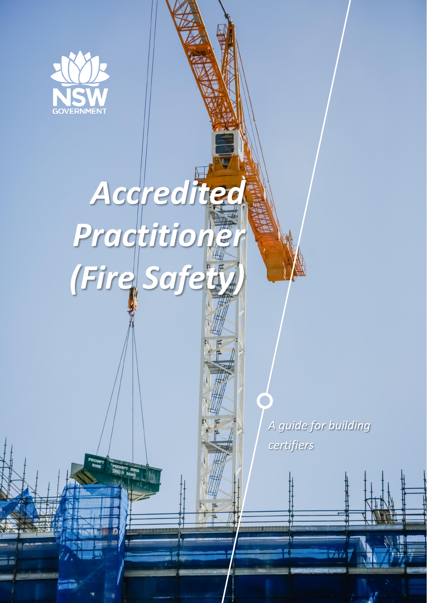

# *Accredite Practitioner (Fire Safety)*

*A guide for building certifiers*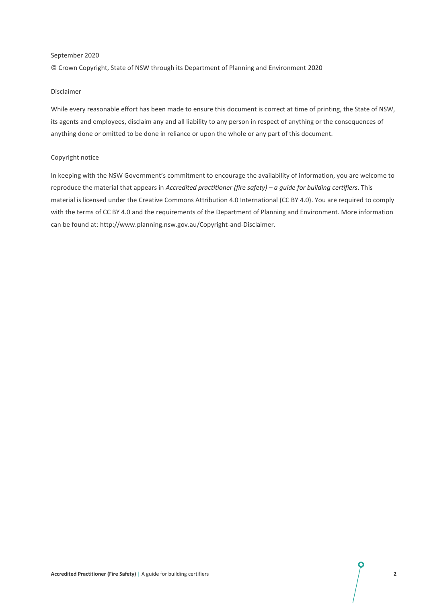#### September 2020

© Crown Copyright, State of NSW through its Department of Planning and Environment 2020

#### Disclaimer

While every reasonable effort has been made to ensure this document is correct at time of printing, the State of NSW, its agents and employees, disclaim any and all liability to any person in respect of anything or the consequences of anything done or omitted to be done in reliance or upon the whole or any part of this document.

#### Copyright notice

In keeping with the NSW Government's commitment to encourage the availability of information, you are welcome to reproduce the material that appears in *Accredited practitioner (fire safety) – a guide for building certifiers*. This material is licensed under the [Creative Commons Attribution 4.0 International \(CC BY 4.0\).](https://creativecommons.org/licenses/by/4.0/deed.en) You are required to comply with the terms of CC BY 4.0 and the requirements of the Department of Planning and Environment. More information can be found at: [http://www.planning.nsw.gov.au/Copyright-and-Disclaimer.](http://www.planning.nsw.gov.au/Copyright-and-Disclaimer)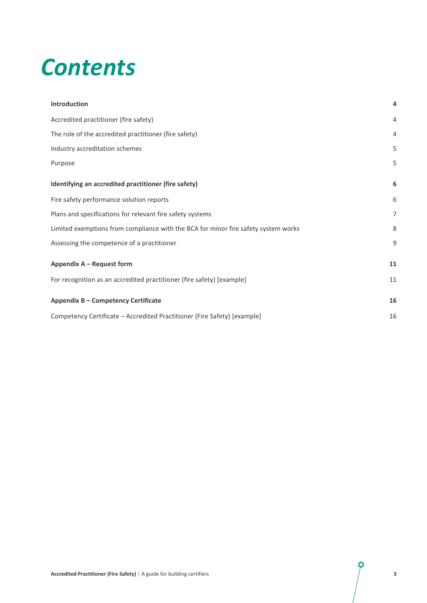# *Contents*

| <b>Introduction</b>                                                                | $\overline{a}$ |
|------------------------------------------------------------------------------------|----------------|
| Accredited practitioner (fire safety)                                              | $\overline{4}$ |
| The role of the accredited practitioner (fire safety)                              | $\overline{4}$ |
| Industry accreditation schemes                                                     | 5              |
| Purpose                                                                            | 5              |
| Identifying an accredited practitioner (fire safety)                               | 6              |
| Fire safety performance solution reports                                           | 6              |
| Plans and specifications for relevant fire safety systems                          | $\overline{7}$ |
| Limited exemptions from compliance with the BCA for minor fire safety system works | 8              |
| Assessing the competence of a practitioner                                         | 9              |
| Appendix A - Request form                                                          | 11             |
| For recognition as an accredited practitioner (fire safety) [example]              | 11             |
| Appendix B - Competency Certificate                                                | 16             |
| Competency Certificate - Accredited Practitioner (Fire Safety) [example]           | 16             |

 $\boldsymbol{\varphi}$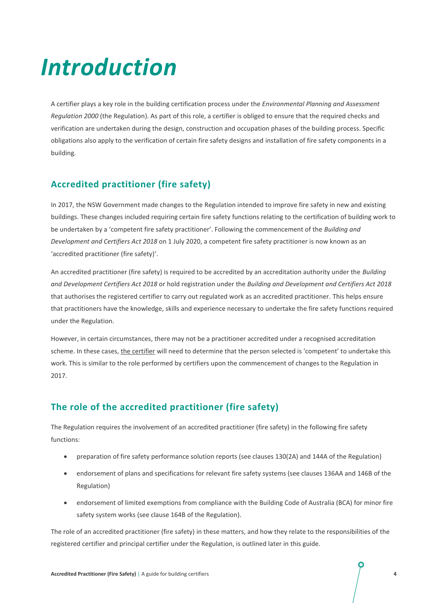# *Introduction*

A certifier plays a key role in the building certification process under the *Environmental Planning and Assessment Regulation 2000* (the Regulation). As part of this role, a certifier is obliged to ensure that the required checks and verification are undertaken during the design, construction and occupation phases of the building process. Specific obligations also apply to the verification of certain fire safety designs and installation of fire safety components in a building.

# **Accredited practitioner (fire safety)**

In 2017, the NSW Government made changes to the Regulation intended to improve fire safety in new and existing buildings. These changes included requiring certain fire safety functions relating to the certification of building work to be undertaken by a 'competent fire safety practitioner'. Following the commencement of the *Building and Development and Certifiers Act 2018* on 1 July 2020, a competent fire safety practitioner is now known as an 'accredited practitioner (fire safety)'.

An accredited practitioner (fire safety) is required to be accredited by an accreditation authority under the *Building and Development Certifiers Act 2018* or hold registration under the *Building and Development and Certifiers Act 2018* that authorises the registered certifier to carry out regulated work as an accredited practitioner. This helps ensure that practitioners have the knowledge, skills and experience necessary to undertake the fire safety functions required under the Regulation.

However, in certain circumstances, there may not be a practitioner accredited under a recognised accreditation scheme. In these cases, the certifier will need to determine that the person selected is 'competent' to undertake this work. This is similar to the role performed by certifiers upon the commencement of changes to the Regulation in 2017.

# **The role of the accredited practitioner (fire safety)**

The Regulation requires the involvement of an accredited practitioner (fire safety) in the following fire safety functions:

- preparation of fire safety performance solution reports (see clauses 130(2A) and 144A of the Regulation)
- endorsement of plans and specifications for relevant fire safety systems (see clauses 136AA and 146B of the Regulation)
- endorsement of limited exemptions from compliance with the Building Code of Australia (BCA) for minor fire safety system works (see clause 164B of the Regulation).

The role of an accredited practitioner (fire safety) in these matters, and how they relate to the responsibilities of the registered certifier and principal certifier under the Regulation, is outlined later in this guide.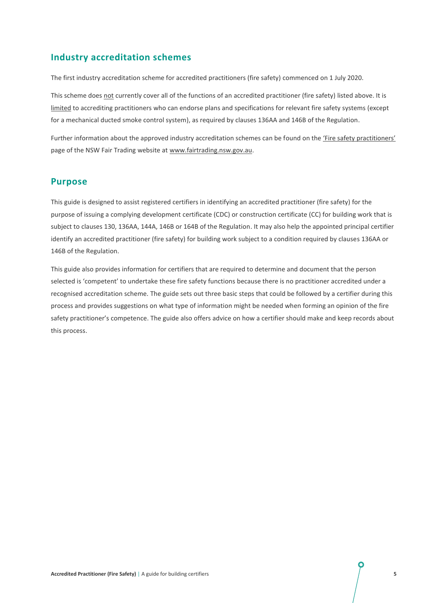### **Industry accreditation schemes**

The first industry accreditation scheme for accredited practitioners (fire safety) commenced on 1 July 2020.

This scheme does not currently cover all of the functions of an accredited practitioner (fire safety) listed above. It is limited to accrediting practitioners who can endorse plans and specifications for relevant fire safety systems (except for a mechanical ducted smoke control system), as required by clauses 136AA and 146B of the Regulation.

Further information about the approved industry accreditation schemes can be found on the 'Fire safety practitioners' page of the NSW Fair Trading website at www.fairtrading.nsw.gov.au.

#### **Purpose**

This guide is designed to assist registered certifiers in identifying an accredited practitioner (fire safety) for the purpose of issuing a complying development certificate (CDC) or construction certificate (CC) for building work that is subject to clauses 130, 136AA, 144A, 146B or 164B of the Regulation. It may also help the appointed principal certifier identify an accredited practitioner (fire safety) for building work subject to a condition required by clauses 136AA or 146B of the Regulation.

This guide also provides information for certifiers that are required to determine and document that the person selected is 'competent' to undertake these fire safety functions because there is no practitioner accredited under a recognised accreditation scheme. The guide sets out three basic steps that could be followed by a certifier during this process and provides suggestions on what type of information might be needed when forming an opinion of the fire safety practitioner's competence. The guide also offers advice on how a certifier should make and keep records about this process.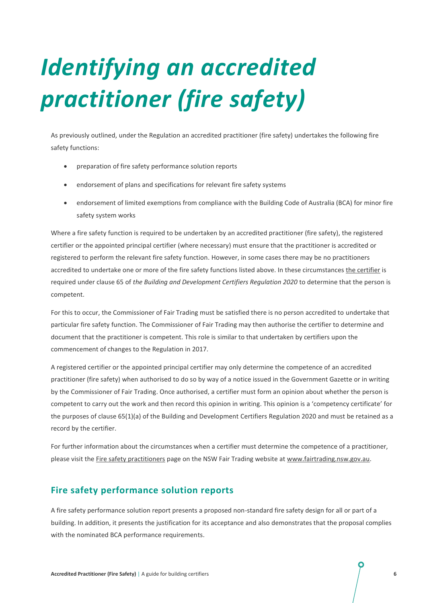# *Identifying an accredited practitioner (fire safety)*

As previously outlined, under the Regulation an accredited practitioner (fire safety) undertakes the following fire safety functions:

- preparation of fire safety performance solution reports
- endorsement of plans and specifications for relevant fire safety systems
- endorsement of limited exemptions from compliance with the Building Code of Australia (BCA) for minor fire safety system works

Where a fire safety function is required to be undertaken by an accredited practitioner (fire safety), the registered certifier or the appointed principal certifier (where necessary) must ensure that the practitioner is accredited or registered to perform the relevant fire safety function. However, in some cases there may be no practitioners accredited to undertake one or more of the fire safety functions listed above. In these circumstances the certifier is required under clause 65 of *the Building and Development Certifiers Regulation 2020* to determine that the person is competent.

For this to occur, the Commissioner of Fair Trading must be satisfied there is no person accredited to undertake that particular fire safety function. The Commissioner of Fair Trading may then authorise the certifier to determine and document that the practitioner is competent. This role is similar to that undertaken by certifiers upon the commencement of changes to the Regulation in 2017.

A registered certifier or the appointed principal certifier may only determine the competence of an accredited practitioner (fire safety) when authorised to do so by way of a notice issued in the Government Gazette or in writing by the Commissioner of Fair Trading. Once authorised, a certifier must form an opinion about whether the person is competent to carry out the work and then record this opinion in writing. This opinion is a 'competency certificate' for the purposes of clause 65(1)(a) of the Building and Development Certifiers Regulation 2020 and must be retained as a record by the certifier.

For further information about the circumstances when a certifier must determine the competence of a practitioner, please visit the [Fire safety practitioners](https://www.fairtrading.nsw.gov.au/trades-and-businesses/business-essentials/information-for-specific-industries/fire-safety-practitioners) page on the NSW Fair Trading website at [www.fairtrading.nsw.gov.au.](http://www.fairtrading.nsw.gov.au/)

### **Fire safety performance solution reports**

A fire safety performance solution report presents a proposed non-standard fire safety design for all or part of a building. In addition, it presents the justification for its acceptance and also demonstrates that the proposal complies with the nominated BCA performance requirements.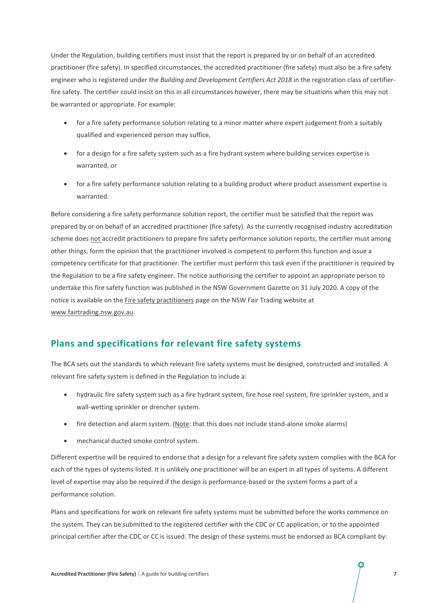Under the Regulation, building certifiers must insist that the report is prepared by or on behalf of an accredited practitioner (fire safety). In specified circumstances, the accredited practitioner (fire safety) must also be a fire safety engineer who is registered under the *Building and Development Certifiers Act 2018* in the registration class of certifierfire safety. The certifier could insist on this in all circumstances however, there may be situations when this may not be warranted or appropriate. For example:

- for a fire safety performance solution relating to a minor matter where expert judgement from a suitably qualified and experienced person may suffice,
- for a design for a fire safety system such as a fire hydrant system where building services expertise is warranted, or
- for a fire safety performance solution relating to a building product where product assessment expertise is warranted.

Before considering a fire safety performance solution report, the certifier must be satisfied that the report was prepared by or on behalf of an accredited practitioner (fire safety). As the currently recognised industry accreditation scheme does not accredit practitioners to prepare fire safety performance solution reports, the certifier must among other things, form the opinion that the practitioner involved is competent to perform this function and issue a competency certificate for that practitioner. The certifier must perform this task even if the practitioner is required by the Regulation to be a fire safety engineer. The notice authorising the certifier to appoint an appropriate person to undertake this fire safety function was published in the NSW Government Gazette on 31 July 2020. A copy of the notice is available on the [Fire safety practitioners](https://www.fairtrading.nsw.gov.au/trades-and-businesses/business-essentials/information-for-specific-industries/fire-safety-practitioners) page on the NSW Fair Trading website at [www.fairtrading.nsw.gov.au.](http://www.fairtrading.nsw.gov.au/)

### **Plans and specifications for relevant fire safety systems**

The BCA sets out the standards to which relevant fire safety systems must be designed, constructed and installed. A relevant fire safety system is defined in the Regulation to include a:

- hydraulic fire safety system such as a fire hydrant system, fire hose reel system, fire sprinkler system, and a wall-wetting sprinkler or drencher system.
- fire detection and alarm system. (Note: that this does not include stand-alone smoke alarms)
- mechanical ducted smoke control system.

Different expertise will be required to endorse that a design for a relevant fire safety system complies with the BCA for each of the types of systems listed. It is unlikely one practitioner will be an expert in all types of systems. A different level of expertise may also be required if the design is performance-based or the system forms a part of a performance solution.

Plans and specifications for work on relevant fire safety systems must be submitted before the works commence on the system. They can be submitted to the registered certifier with the CDC or CC application, or to the appointed principal certifier after the CDC or CC is issued. The design of these systems must be endorsed as BCA compliant by: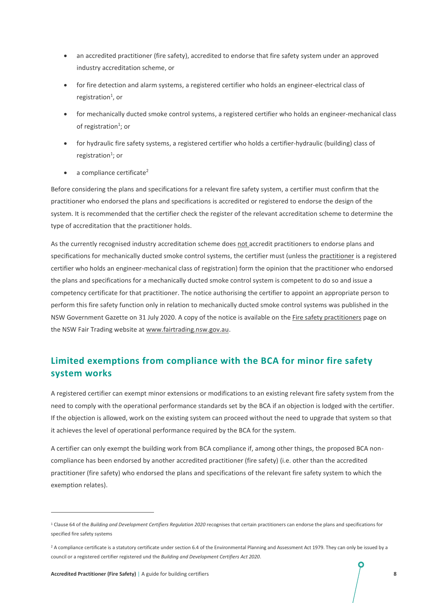- an accredited practitioner (fire safety), accredited to endorse that fire safety system under an approved industry accreditation scheme, or
- for fire detection and alarm systems, a registered certifier who holds an engineer-electrical class of registration<sup>1</sup>, or
- for mechanically ducted smoke control systems, a registered certifier who holds an engineer-mechanical class of registration<sup>1</sup>; or
- for hydraulic fire safety systems, a registered certifier who holds a certifier-hydraulic (building) class of registration<sup>1</sup>; or
- $\bullet$  a compliance certificate<sup>2</sup>

Before considering the plans and specifications for a relevant fire safety system, a certifier must confirm that the practitioner who endorsed the plans and specifications is accredited or registered to endorse the design of the system. It is recommended that the certifier check the register of the relevant accreditation scheme to determine the type of accreditation that the practitioner holds.

As the currently recognised industry accreditation scheme does not accredit practitioners to endorse plans and specifications for mechanically ducted smoke control systems, the certifier must (unless the practitioner is a registered certifier who holds an engineer-mechanical class of registration) form the opinion that the practitioner who endorsed the plans and specifications for a mechanically ducted smoke control system is competent to do so and issue a competency certificate for that practitioner. The notice authorising the certifier to appoint an appropriate person to perform this fire safety function only in relation to mechanically ducted smoke control systems was published in the NSW Government Gazette on 31 July 2020. A copy of the notice is available on th[e Fire safety practitioners](https://www.fairtrading.nsw.gov.au/trades-and-businesses/business-essentials/information-for-specific-industries/fire-safety-practitioners) page on the NSW Fair Trading website at [www.fairtrading.nsw.gov.au.](http://www.fairtrading.nsw.gov.au/)

# **Limited exemptions from compliance with the BCA for minor fire safety system works**

A registered certifier can exempt minor extensions or modifications to an existing relevant fire safety system from the need to comply with the operational performance standards set by the BCA if an objection is lodged with the certifier. If the objection is allowed, work on the existing system can proceed without the need to upgrade that system so that it achieves the level of operational performance required by the BCA for the system.

A certifier can only exempt the building work from BCA compliance if, among other things, the proposed BCA noncompliance has been endorsed by another accredited practitioner (fire safety) (i.e. other than the accredited practitioner (fire safety) who endorsed the plans and specifications of the relevant fire safety system to which the exemption relates).

<sup>1</sup> Clause 64 of the *Building and Development Certifiers Regulation 2020* recognises that certain practitioners can endorse the plans and specifications for specified fire safety systems

<sup>&</sup>lt;sup>2</sup> A compliance certificate is a statutory certificate under section 6.4 of the Environmental Planning and Assessment Act 1979. They can only be issued by a council or a registered certifier registered und the *Building and Development Certifiers Act 2020*.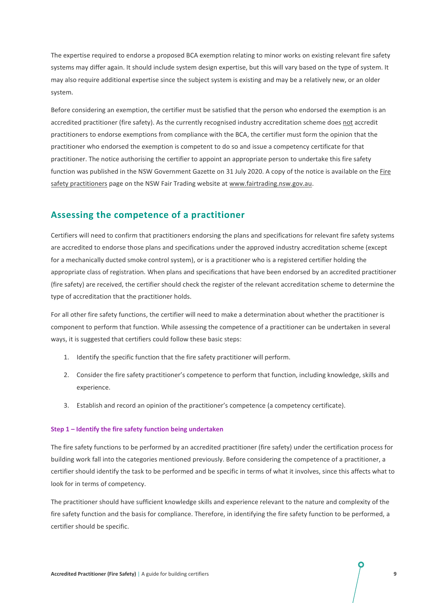The expertise required to endorse a proposed BCA exemption relating to minor works on existing relevant fire safety systems may differ again. It should include system design expertise, but this will vary based on the type of system. It may also require additional expertise since the subject system is existing and may be a relatively new, or an older system.

Before considering an exemption, the certifier must be satisfied that the person who endorsed the exemption is an accredited practitioner (fire safety). As the currently recognised industry accreditation scheme does not accredit practitioners to endorse exemptions from compliance with the BCA, the certifier must form the opinion that the practitioner who endorsed the exemption is competent to do so and issue a competency certificate for that practitioner. The notice authorising the certifier to appoint an appropriate person to undertake this fire safety function was published in the NSW Government Gazette on 31 July 2020. A copy of the notice is available on th[e Fire](https://www.fairtrading.nsw.gov.au/trades-and-businesses/business-essentials/information-for-specific-industries/fire-safety-practitioners)  [safety practitioners](https://www.fairtrading.nsw.gov.au/trades-and-businesses/business-essentials/information-for-specific-industries/fire-safety-practitioners) page on the NSW Fair Trading website a[t www.fairtrading.nsw.gov.au.](http://www.fairtrading.nsw.gov.au/)

### **Assessing the competence of a practitioner**

Certifiers will need to confirm that practitioners endorsing the plans and specifications for relevant fire safety systems are accredited to endorse those plans and specifications under the approved industry accreditation scheme (except for a mechanically ducted smoke control system), or is a practitioner who is a registered certifier holding the appropriate class of registration. When plans and specifications that have been endorsed by an accredited practitioner (fire safety) are received, the certifier should check the register of the relevant accreditation scheme to determine the type of accreditation that the practitioner holds.

For all other fire safety functions, the certifier will need to make a determination about whether the practitioner is component to perform that function. While assessing the competence of a practitioner can be undertaken in several ways, it is suggested that certifiers could follow these basic steps:

- 1. Identify the specific function that the fire safety practitioner will perform.
- 2. Consider the fire safety practitioner's competence to perform that function, including knowledge, skills and experience.
- 3. Establish and record an opinion of the practitioner's competence (a competency certificate).

#### **Step 1 – Identify the fire safety function being undertaken**

The fire safety functions to be performed by an accredited practitioner (fire safety) under the certification process for building work fall into the categories mentioned previously. Before considering the competence of a practitioner, a certifier should identify the task to be performed and be specific in terms of what it involves, since this affects what to look for in terms of competency.

The practitioner should have sufficient knowledge skills and experience relevant to the nature and complexity of the fire safety function and the basis for compliance. Therefore, in identifying the fire safety function to be performed, a certifier should be specific.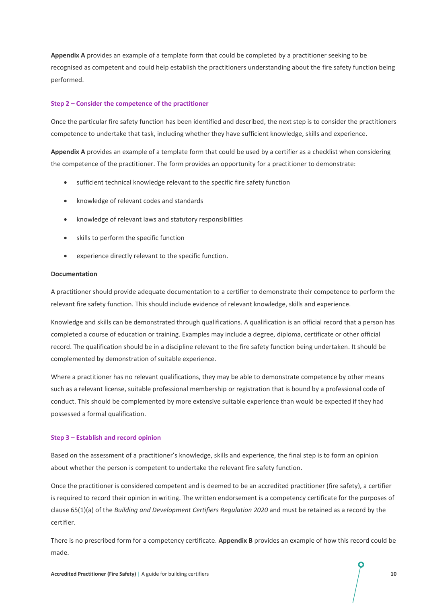**Appendix A** provides an example of a template form that could be completed by a practitioner seeking to be recognised as competent and could help establish the practitioners understanding about the fire safety function being performed.

#### **Step 2 – Consider the competence of the practitioner**

Once the particular fire safety function has been identified and described, the next step is to consider the practitioners competence to undertake that task, including whether they have sufficient knowledge, skills and experience.

**Appendix A** provides an example of a template form that could be used by a certifier as a checklist when considering the competence of the practitioner. The form provides an opportunity for a practitioner to demonstrate:

- sufficient technical knowledge relevant to the specific fire safety function
- knowledge of relevant codes and standards
- knowledge of relevant laws and statutory responsibilities
- skills to perform the specific function
- experience directly relevant to the specific function.

#### **Documentation**

A practitioner should provide adequate documentation to a certifier to demonstrate their competence to perform the relevant fire safety function. This should include evidence of relevant knowledge, skills and experience.

Knowledge and skills can be demonstrated through qualifications. A qualification is an official record that a person has completed a course of education or training. Examples may include a degree, diploma, certificate or other official record. The qualification should be in a discipline relevant to the fire safety function being undertaken. It should be complemented by demonstration of suitable experience.

Where a practitioner has no relevant qualifications, they may be able to demonstrate competence by other means such as a relevant license, suitable professional membership or registration that is bound by a professional code of conduct. This should be complemented by more extensive suitable experience than would be expected if they had possessed a formal qualification.

#### **Step 3 – Establish and record opinion**

Based on the assessment of a practitioner's knowledge, skills and experience, the final step is to form an opinion about whether the person is competent to undertake the relevant fire safety function.

Once the practitioner is considered competent and is deemed to be an accredited practitioner (fire safety), a certifier is required to record their opinion in writing. The written endorsement is a competency certificate for the purposes of clause 65(1)(a) of the *Building and Development Certifiers Regulation 2020* and must be retained as a record by the certifier.

There is no prescribed form for a competency certificate. **Appendix B** provides an example of how this record could be made.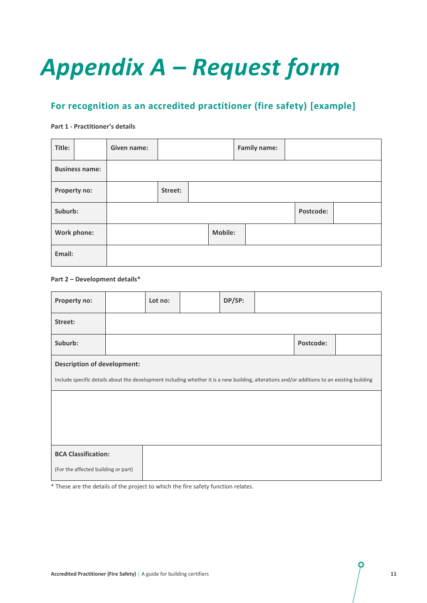# *Appendix A – Request form*

# **For recognition as an accredited practitioner (fire safety) [example]**

#### **Part 1 - Practitioner's details**

| Title:                | Given name: |         |                | <b>Family name:</b> |           |  |
|-----------------------|-------------|---------|----------------|---------------------|-----------|--|
| <b>Business name:</b> |             |         |                |                     |           |  |
| Property no:          |             | Street: |                |                     |           |  |
| Suburb:               |             |         |                |                     | Postcode: |  |
| Work phone:           |             |         | <b>Mobile:</b> |                     |           |  |
| Email:                |             |         |                |                     |           |  |

#### **Part 2 – Development details\***

| Property no:                                                                                                                                |  | Lot no: |  | DP/SP: |  |           |  |
|---------------------------------------------------------------------------------------------------------------------------------------------|--|---------|--|--------|--|-----------|--|
| Street:                                                                                                                                     |  |         |  |        |  |           |  |
| Suburb:                                                                                                                                     |  |         |  |        |  | Postcode: |  |
| <b>Description of development:</b>                                                                                                          |  |         |  |        |  |           |  |
| Include specific details about the development including whether it is a new building, alterations and/or additions to an existing building |  |         |  |        |  |           |  |
|                                                                                                                                             |  |         |  |        |  |           |  |
|                                                                                                                                             |  |         |  |        |  |           |  |
|                                                                                                                                             |  |         |  |        |  |           |  |
| <b>BCA Classification:</b>                                                                                                                  |  |         |  |        |  |           |  |
| (For the affected building or part)                                                                                                         |  |         |  |        |  |           |  |

\* These are the details of the project to which the fire safety function relates.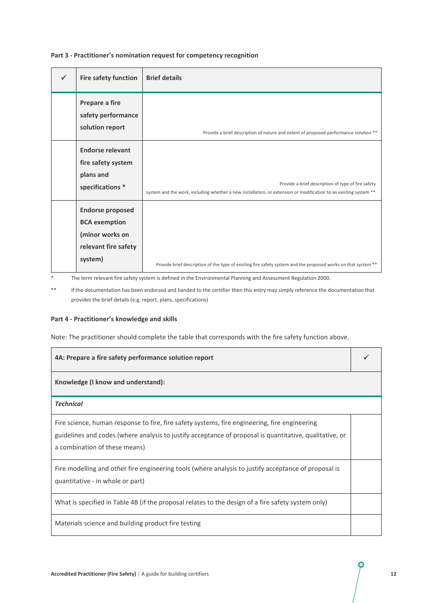| <b>Fire safety function</b>                                                                           | <b>Brief details</b>                                                                                                                                                   |
|-------------------------------------------------------------------------------------------------------|------------------------------------------------------------------------------------------------------------------------------------------------------------------------|
| Prepare a fire<br>safety performance<br>solution report                                               | Provide a brief description of nature and extent of proposed performance solution **                                                                                   |
| <b>Endorse relevant</b><br>fire safety system<br>plans and<br>specifications *                        | Provide a brief description of type of fire safety<br>system and the work, including whether a new installation, or extension or modification to an existing system ** |
| <b>Endorse proposed</b><br><b>BCA</b> exemption<br>(minor works on<br>relevant fire safety<br>system) | Provide brief description of the type of existing fire safety system and the proposed works on that system **                                                          |

#### **Part 3 - Practitioner's nomination request for competency recognition**

\* The term relevant fire safety system is defined in the Environmental Planning and Assessment Regulation 2000.

\*\* If the documentation has been endorsed and handed to the certifier then this entry may simply reference the documentation that provides the brief details (e.g. report, plans, specifications)

#### **Part 4 - Practitioner's knowledge and skills**

Note: The practitioner should complete the table that corresponds with the fire safety function above.

| 4A: Prepare a fire safety performance solution report                                                                                                                                                                                     |  |
|-------------------------------------------------------------------------------------------------------------------------------------------------------------------------------------------------------------------------------------------|--|
| Knowledge (I know and understand):                                                                                                                                                                                                        |  |
| <b>Technical</b>                                                                                                                                                                                                                          |  |
| Fire science, human response to fire, fire safety systems, fire engineering, fire engineering<br>guidelines and codes (where analysis to justify acceptance of proposal is quantitative, qualitative, or<br>a combination of these means) |  |
| Fire modelling and other fire engineering tools (where analysis to justify acceptance of proposal is<br>quantitative - in whole or part)                                                                                                  |  |
| What is specified in Table 4B (if the proposal relates to the design of a fire safety system only)                                                                                                                                        |  |
| Materials science and building product fire testing                                                                                                                                                                                       |  |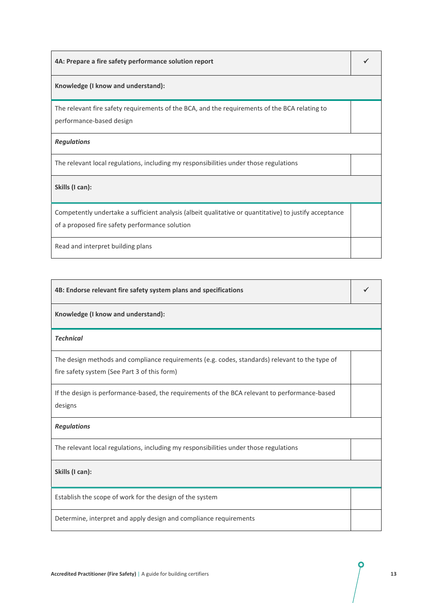| 4A: Prepare a fire safety performance solution report                                                                                                    |  |
|----------------------------------------------------------------------------------------------------------------------------------------------------------|--|
| Knowledge (I know and understand):                                                                                                                       |  |
| The relevant fire safety requirements of the BCA, and the requirements of the BCA relating to<br>performance-based design                                |  |
| <b>Regulations</b>                                                                                                                                       |  |
| The relevant local regulations, including my responsibilities under those regulations                                                                    |  |
| Skills (I can):                                                                                                                                          |  |
| Competently undertake a sufficient analysis (albeit qualitative or quantitative) to justify acceptance<br>of a proposed fire safety performance solution |  |
| Read and interpret building plans                                                                                                                        |  |

| 4B: Endorse relevant fire safety system plans and specifications                                                                               |  |
|------------------------------------------------------------------------------------------------------------------------------------------------|--|
| Knowledge (I know and understand):                                                                                                             |  |
| <b>Technical</b>                                                                                                                               |  |
| The design methods and compliance requirements (e.g. codes, standards) relevant to the type of<br>fire safety system (See Part 3 of this form) |  |
| If the design is performance-based, the requirements of the BCA relevant to performance-based<br>designs                                       |  |
| <b>Regulations</b>                                                                                                                             |  |
| The relevant local regulations, including my responsibilities under those regulations                                                          |  |
| Skills (I can):                                                                                                                                |  |
| Establish the scope of work for the design of the system                                                                                       |  |
| Determine, interpret and apply design and compliance requirements                                                                              |  |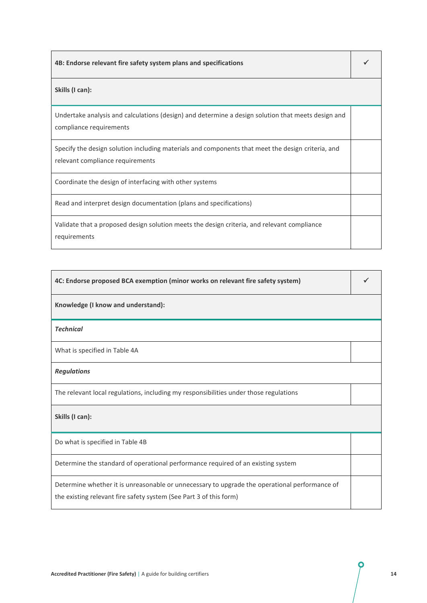| 4B: Endorse relevant fire safety system plans and specifications                                                                      |  |
|---------------------------------------------------------------------------------------------------------------------------------------|--|
| Skills (I can):                                                                                                                       |  |
| Undertake analysis and calculations (design) and determine a design solution that meets design and<br>compliance requirements         |  |
| Specify the design solution including materials and components that meet the design criteria, and<br>relevant compliance requirements |  |
| Coordinate the design of interfacing with other systems                                                                               |  |
| Read and interpret design documentation (plans and specifications)                                                                    |  |
| Validate that a proposed design solution meets the design criteria, and relevant compliance<br>requirements                           |  |

| 4C: Endorse proposed BCA exemption (minor works on relevant fire safety system)                                                                                     |  |
|---------------------------------------------------------------------------------------------------------------------------------------------------------------------|--|
| Knowledge (I know and understand):                                                                                                                                  |  |
| <b>Technical</b>                                                                                                                                                    |  |
| What is specified in Table 4A                                                                                                                                       |  |
| <b>Regulations</b>                                                                                                                                                  |  |
| The relevant local regulations, including my responsibilities under those regulations                                                                               |  |
| Skills (I can):                                                                                                                                                     |  |
| Do what is specified in Table 4B                                                                                                                                    |  |
| Determine the standard of operational performance required of an existing system                                                                                    |  |
| Determine whether it is unreasonable or unnecessary to upgrade the operational performance of<br>the existing relevant fire safety system (See Part 3 of this form) |  |

O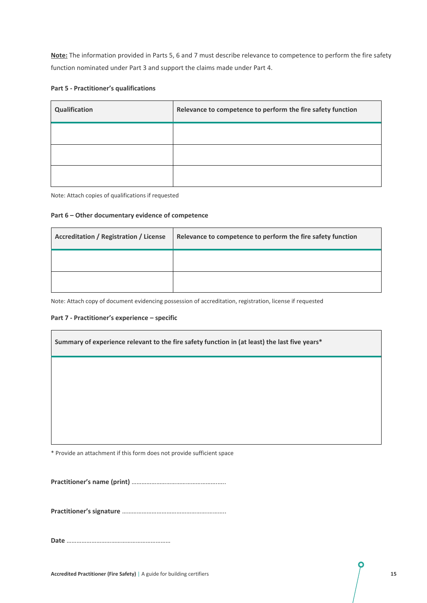**Note:** The information provided in Parts 5, 6 and 7 must describe relevance to competence to perform the fire safety function nominated under Part 3 and support the claims made under Part 4.

#### **Part 5 - Practitioner's qualifications**

| Qualification | Relevance to competence to perform the fire safety function |
|---------------|-------------------------------------------------------------|
|               |                                                             |
|               |                                                             |
|               |                                                             |

Note: Attach copies of qualifications if requested

#### **Part 6 – Other documentary evidence of competence**

| <b>Accreditation / Registration / License</b> | Relevance to competence to perform the fire safety function |
|-----------------------------------------------|-------------------------------------------------------------|
|                                               |                                                             |
|                                               |                                                             |

Note: Attach copy of document evidencing possession of accreditation, registration, license if requested

#### **Part 7 - Practitioner's experience – specific**

 $\mathbf{r}$ 

| Summary of experience relevant to the fire safety function in (at least) the last five years* |  |
|-----------------------------------------------------------------------------------------------|--|
|                                                                                               |  |
|                                                                                               |  |
|                                                                                               |  |
|                                                                                               |  |

\* Provide an attachment if this form does not provide sufficient space

**Practitioner's name (print)** …………………………………………….…..

**Practitioner's signature** …………………………………………….………..

**Date** ………………………………………………………